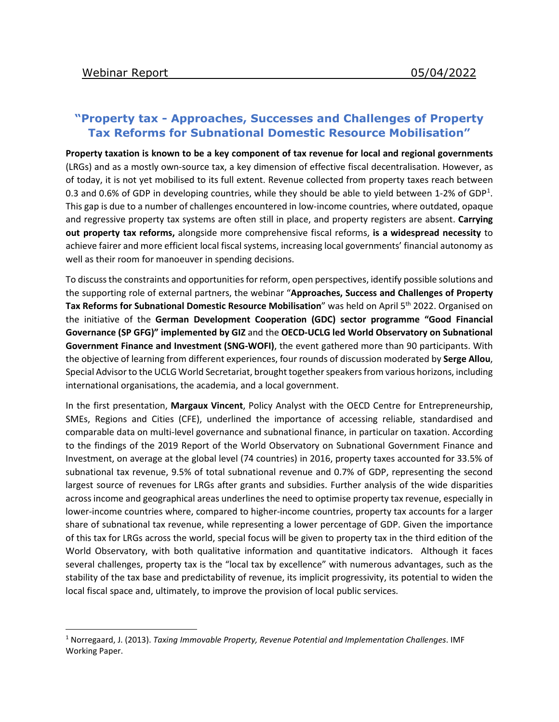## **"Property tax - Approaches, Successes and Challenges of Property Tax Reforms for Subnational Domestic Resource Mobilisation"**

**Property taxation is known to be a key component of tax revenue for local and regional governments** (LRGs) and as a mostly own-source tax, a key dimension of effective fiscal decentralisation. However, as of today, it is not yet mobilised to its full extent. Revenue collected from property taxes reach between 0.3 and 0.6% of GDP in developing countries, while they should be able to yield between [1](#page-0-0)-2% of GDP<sup>1</sup>. This gap is due to a number of challenges encountered in low-income countries, where outdated, opaque and regressive property tax systems are often still in place, and property registers are absent. **Carrying out property tax reforms,** alongside more comprehensive fiscal reforms, **is a widespread necessity** to achieve fairer and more efficient local fiscal systems, increasing local governments' financial autonomy as well as their room for manoeuver in spending decisions.

To discuss the constraints and opportunities for reform, open perspectives, identify possible solutions and the supporting role of external partners, the webinar "**Approaches, Success and Challenges of Property**  Tax Reforms for Subnational Domestic Resource Mobilisation<sup>"</sup> was held on April 5<sup>th</sup> 2022. Organised on the initiative of the **German Development Cooperation (GDC) sector programme "Good Financial Governance (SP GFG)" implemented by GIZ** and the **OECD-UCLG led World Observatory on Subnational Government Finance and Investment (SNG-WOFI)**, the event gathered more than 90 participants. With the objective of learning from different experiences, four rounds of discussion moderated by **Serge Allou**, Special Advisor to the UCLG World Secretariat, brought together speakers from various horizons, including international organisations, the academia, and a local government.

In the first presentation, **Margaux Vincent**, Policy Analyst with the OECD Centre for Entrepreneurship, SMEs, Regions and Cities (CFE), underlined the importance of accessing reliable, standardised and comparable data on multi-level governance and subnational finance, in particular on taxation. According to the findings of the 2019 Report of the World Observatory on Subnational Government Finance and Investment, on average at the global level (74 countries) in 2016, property taxes accounted for 33.5% of subnational tax revenue, 9.5% of total subnational revenue and 0.7% of GDP, representing the second largest source of revenues for LRGs after grants and subsidies. Further analysis of the wide disparities across income and geographical areas underlines the need to optimise property tax revenue, especially in lower-income countries where, compared to higher-income countries, property tax accounts for a larger share of subnational tax revenue, while representing a lower percentage of GDP. Given the importance of this tax for LRGs across the world, special focus will be given to property tax in the third edition of the World Observatory, with both qualitative information and quantitative indicators. Although it faces several challenges, property tax is the "local tax by excellence" with numerous advantages, such as the stability of the tax base and predictability of revenue, its implicit progressivity, its potential to widen the local fiscal space and, ultimately, to improve the provision of local public services.

<span id="page-0-0"></span> <sup>1</sup> Norregaard, J. (2013). *Taxing Immovable Property, Revenue Potential and Implementation Challenges*. IMF Working Paper.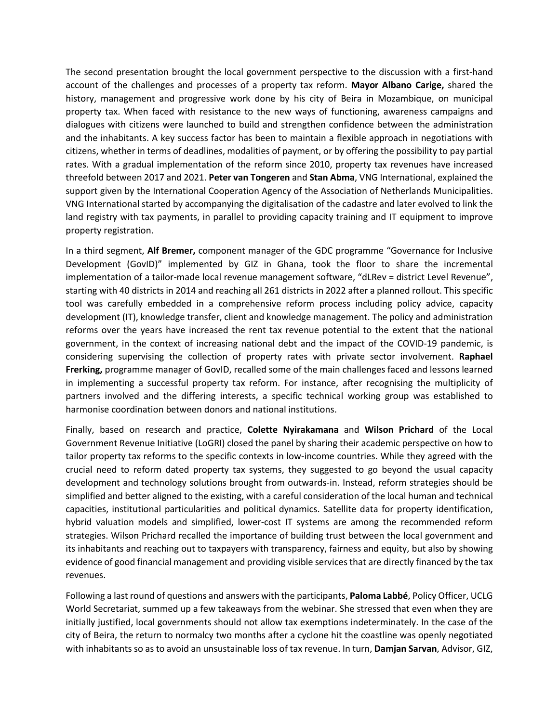The second presentation brought the local government perspective to the discussion with a first-hand account of the challenges and processes of a property tax reform. **Mayor Albano Carige,** shared the history, management and progressive work done by his city of Beira in Mozambique, on municipal property tax. When faced with resistance to the new ways of functioning, awareness campaigns and dialogues with citizens were launched to build and strengthen confidence between the administration and the inhabitants. A key success factor has been to maintain a flexible approach in negotiations with citizens, whether in terms of deadlines, modalities of payment, or by offering the possibility to pay partial rates. With a gradual implementation of the reform since 2010, property tax revenues have increased threefold between 2017 and 2021. **Peter van Tongeren** and **Stan Abma**, VNG International, explained the support given by the International Cooperation Agency of the Association of Netherlands Municipalities. VNG International started by accompanying the digitalisation of the cadastre and later evolved to link the land registry with tax payments, in parallel to providing capacity training and IT equipment to improve property registration.

In a third segment, **Alf Bremer,** component manager of the GDC programme "Governance for Inclusive Development (GovID)" implemented by GIZ in Ghana, took the floor to share the incremental implementation of a tailor-made local revenue management software, "dLRev = district Level Revenue", starting with 40 districts in 2014 and reaching all 261 districts in 2022 after a planned rollout. This specific tool was carefully embedded in a comprehensive reform process including policy advice, capacity development (IT), knowledge transfer, client and knowledge management. The policy and administration reforms over the years have increased the rent tax revenue potential to the extent that the national government, in the context of increasing national debt and the impact of the COVID-19 pandemic, is considering supervising the collection of property rates with private sector involvement. **Raphael Frerking,** programme manager of GovID, recalled some of the main challenges faced and lessons learned in implementing a successful property tax reform. For instance, after recognising the multiplicity of partners involved and the differing interests, a specific technical working group was established to harmonise coordination between donors and national institutions.

Finally, based on research and practice, **Colette Nyirakamana** and **Wilson Prichard** of the Local Government Revenue Initiative (LoGRI) closed the panel by sharing their academic perspective on how to tailor property tax reforms to the specific contexts in low-income countries. While they agreed with the crucial need to reform dated property tax systems, they suggested to go beyond the usual capacity development and technology solutions brought from outwards-in. Instead, reform strategies should be simplified and better aligned to the existing, with a careful consideration of the local human and technical capacities, institutional particularities and political dynamics. Satellite data for property identification, hybrid valuation models and simplified, lower-cost IT systems are among the recommended reform strategies. Wilson Prichard recalled the importance of building trust between the local government and its inhabitants and reaching out to taxpayers with transparency, fairness and equity, but also by showing evidence of good financial management and providing visible services that are directly financed by the tax revenues.

Following a last round of questions and answers with the participants, **Paloma Labbé**, Policy Officer, UCLG World Secretariat, summed up a few takeaways from the webinar. She stressed that even when they are initially justified, local governments should not allow tax exemptions indeterminately. In the case of the city of Beira, the return to normalcy two months after a cyclone hit the coastline was openly negotiated with inhabitants so as to avoid an unsustainable loss of tax revenue. In turn, **Damjan Sarvan**, Advisor, GIZ,